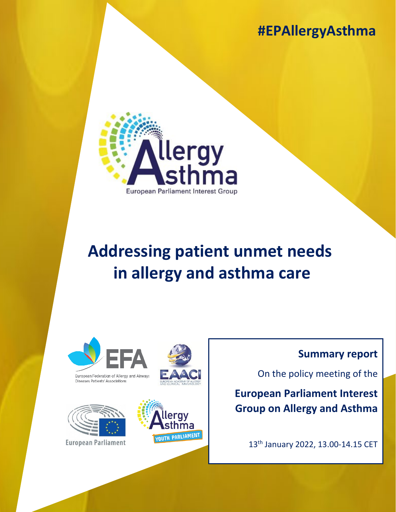## **#EPAllergyAsthma**



# **Addressing patient unmet needs  in allergy and asthma care**







**European Parliament** 



### **Summary report**

On the policy meeting of the

**European Parliament Interest Group on Allergy and Asthma**

13th January 2022, 13.00-14.15 CET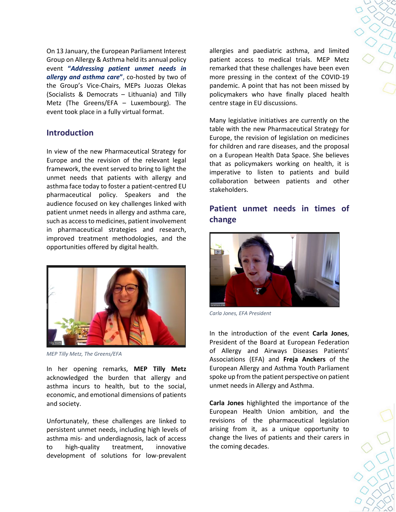On 13 January, the European Parliament Interest Group on Allergy & Asthma held its annual policy event **"***Addressing patient unmet needs in allergy and asthma care***"**, co-hosted by two of the Group's Vice-Chairs, MEPs Juozas Olekas (Socialists & Democrats – Lithuania) and Tilly Metz (The Greens/EFA – Luxembourg). The event took place in a fully virtual format.

#### **Introduction**

In view of the new Pharmaceutical Strategy for Europe and the revision of the relevant legal framework, the event served to bring to light the unmet needs that patients with allergy and asthma face today to foster a patient-centred EU pharmaceutical policy. Speakers and the audience focused on key challenges linked with patient unmet needs in allergy and asthma care, such as access to medicines, patient involvement in pharmaceutical strategies and research, improved treatment methodologies, and the opportunities offered by digital health.



*MEP Tilly Metz, The Greens/EFA*

In her opening remarks, **MEP Tilly Metz**  acknowledged the burden that allergy and asthma incurs to health, but to the social, economic, and emotional dimensions of patients and society.

Unfortunately, these challenges are linked to persistent unmet needs, including high levels of asthma mis- and underdiagnosis, lack of access to high-quality treatment, innovative development of solutions for low-prevalent

allergies and paediatric asthma, and limited patient access to medical trials. MEP Metz remarked that these challenges have been even more pressing in the context of the COVID-19 pandemic. A point that has not been missed by policymakers who have finally placed health centre stage in EU discussions.

Many legislative initiatives are currently on the table with the new Pharmaceutical Strategy for Europe, the revision of legislation on medicines for children and rare diseases, and the proposal on a European Health Data Space. She believes that as policymakers working on health, it is imperative to listen to patients and build collaboration between patients and other stakeholders.

#### **Patient unmet needs in times of change**



*Carla Jones, EFA President*

In the introduction of the event **Carla Jones**, President of the Board at European Federation of Allergy and Airways Diseases Patients' Associations (EFA) and **Freja Anckers** of the European Allergy and Asthma Youth Parliament spoke up from the patient perspective on patient unmet needs in Allergy and Asthma.

**Carla Jones** highlighted the importance of the European Health Union ambition, and the revisions of the pharmaceutical legislation arising from it, as a unique opportunity to change the lives of patients and their carers in the coming decades.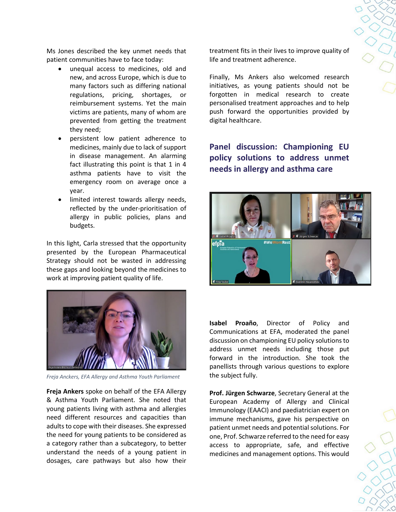$250$ 

Ms Jones described the key unmet needs that patient communities have to face today:

- unequal access to medicines, old and new, and across Europe, which is due to many factors such as differing national regulations, pricing, shortages, or reimbursement systems. Yet the main victims are patients, many of whom are prevented from getting the treatment they need;
- persistent low patient adherence to medicines, mainly due to lack of support in disease management. An alarming fact illustrating this point is that 1 in 4 asthma patients have to visit the emergency room on average once a year.
- limited interest towards allergy needs, reflected by the under-prioritisation of allergy in public policies, plans and budgets.

In this light, Carla stressed that the opportunity presented by the European Pharmaceutical Strategy should not be wasted in addressing these gaps and looking beyond the medicines to work at improving patient quality of life.



*Freja Anckers, EFA Allergy and Asthma Youth Parliament*

**Freja Ankers** spoke on behalf of the EFA Allergy & Asthma Youth Parliament. She noted that young patients living with asthma and allergies need different resources and capacities than adults to cope with their diseases. She expressed the need for young patients to be considered as a category rather than a subcategory, to better understand the needs of a young patient in dosages, care pathways but also how their

treatment fits in their lives to improve quality of life and treatment adherence.

Finally, Ms Ankers also welcomed research initiatives, as young patients should not be forgotten in medical research to create personalised treatment approaches and to help push forward the opportunities provided by digital healthcare.

**Panel discussion: Championing EU policy solutions to address unmet needs in allergy and asthma care**



**Isabel Proaño**, Director of Policy and Communications at EFA, moderated the panel discussion on championing EU policy solutions to address unmet needs including those put forward in the introduction. She took the panellists through various questions to explore the subject fully.

**Prof. Jürgen Schwarze**, Secretary General at the European Academy of Allergy and Clinical Immunology (EAACI) and paediatrician expert on immune mechanisms, gave his perspective on patient unmet needs and potential solutions. For one, Prof. Schwarze referred to the need for easy access to appropriate, safe, and effective medicines and management options. This would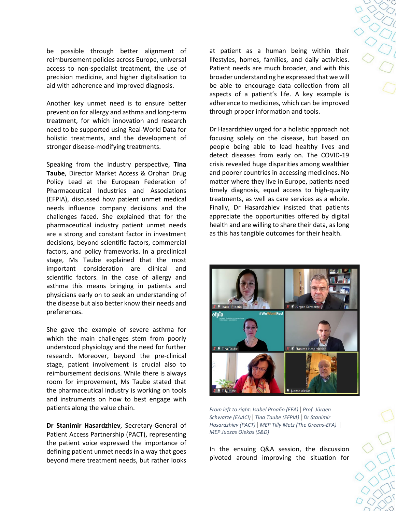be possible through better alignment of reimbursement policies across Europe, universal access to non-specialist treatment, the use of precision medicine, and higher digitalisation to aid with adherence and improved diagnosis.

Another key unmet need is to ensure better prevention for allergy and asthma and long-term treatment, for which innovation and research need to be supported using Real-World Data for holistic treatments, and the development of stronger disease-modifying treatments.

Speaking from the industry perspective, **Tina Taube**, Director Market Access & Orphan Drug Policy Lead at the European Federation of Pharmaceutical Industries and Associations (EFPIA), discussed how patient unmet medical needs influence company decisions and the challenges faced. She explained that for the pharmaceutical industry patient unmet needs are a strong and constant factor in investment decisions, beyond scientific factors, commercial factors, and policy frameworks. In a preclinical stage, Ms Taube explained that the most important consideration are clinical and scientific factors. In the case of allergy and asthma this means bringing in patients and physicians early on to seek an understanding of the disease but also better know their needs and preferences.

She gave the example of severe asthma for which the main challenges stem from poorly understood physiology and the need for further research. Moreover, beyond the pre-clinical stage, patient involvement is crucial also to reimbursement decisions. While there is always room for improvement, Ms Taube stated that the pharmaceutical industry is working on tools and instruments on how to best engage with patients along the value chain.

**Dr Stanimir Hasardzhiev**, Secretary-General of Patient Access Partnership (PACT), representing the patient voice expressed the importance of defining patient unmet needs in a way that goes beyond mere treatment needs, but rather looks

at patient as a human being within their lifestyles, homes, families, and daily activities. Patient needs are much broader, and with this broader understanding he expressed that we will be able to encourage data collection from all aspects of a patient's life. A key example is adherence to medicines, which can be improved through proper information and tools.

Dr Hasardzhiev urged for a holistic approach not focusing solely on the disease, but based on people being able to lead healthy lives and detect diseases from early on. The COVID-19 crisis revealed huge disparities among wealthier and poorer countries in accessing medicines. No matter where they live in Europe, patients need timely diagnosis, equal access to high-quality treatments, as well as care services as a whole. Finally, Dr Hasardzhiev insisted that patients appreciate the opportunities offered by digital health and are willing to share their data, as long as this has tangible outcomes for their health.



*From left to right: Isabel Proaño (EFA) | Prof. Jürgen Schwarze (EAACI) | Tina Taube (EFPIA) | Dr Stanimir Hasardzhiev (PACT) | MEP Tilly Metz (The Greens-EFA) | MEP Juozas Olekas (S&D)*

In the ensuing Q&A session, the discussion pivoted around improving the situation for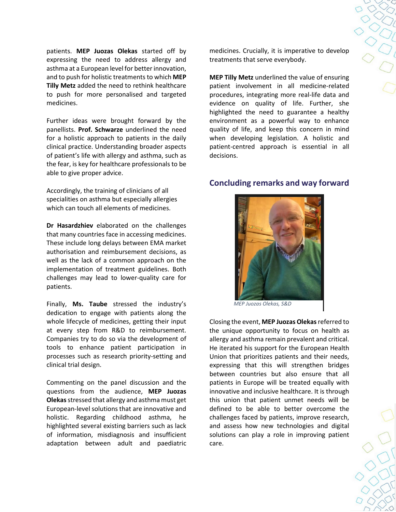**POOL** 

patients. **MEP Juozas Olekas** started off by expressing the need to address allergy and asthma at a European level for better innovation, and to push for holistic treatments to which **MEP Tilly Metz** added the need to rethink healthcare to push for more personalised and targeted medicines.

Further ideas were brought forward by the panellists. **Prof. Schwarze** underlined the need for a holistic approach to patients in the daily clinical practice. Understanding broader aspects of patient's life with allergy and asthma, such as the fear, is key for healthcare professionals to be able to give proper advice.

Accordingly, the training of clinicians of all specialities on asthma but especially allergies which can touch all elements of medicines.

**Dr Hasardzhiev** elaborated on the challenges that many countries face in accessing medicines. These include long delays between EMA market authorisation and reimbursement decisions, as well as the lack of a common approach on the implementation of treatment guidelines. Both challenges may lead to lower-quality care for patients.

Finally, **Ms. Taube** stressed the industry's dedication to engage with patients along the whole lifecycle of medicines, getting their input at every step from R&D to reimbursement. Companies try to do so via the development of tools to enhance patient participation in processes such as research priority-setting and clinical trial design.

Commenting on the panel discussion and the questions from the audience, **MEP Juozas Olekas**stressed that allergy and asthma must get European-level solutions that are innovative and holistic. Regarding childhood asthma, he highlighted several existing barriers such as lack of information, misdiagnosis and insufficient adaptation between adult and paediatric

medicines. Crucially, it is imperative to develop treatments that serve everybody.

**MEP Tilly Metz** underlined the value of ensuring patient involvement in all medicine-related procedures, integrating more real-life data and evidence on quality of life. Further, she highlighted the need to guarantee a healthy environment as a powerful way to enhance quality of life, and keep this concern in mind when developing legislation. A holistic and patient-centred approach is essential in all decisions.

#### **Concluding remarks and way forward**



*MEP Juozas Olekas, S&D*

Closing the event, **MEP Juozas Olekas** referred to the unique opportunity to focus on health as allergy and asthma remain prevalent and critical. He iterated his support for the European Health Union that prioritizes patients and their needs, expressing that this will strengthen bridges between countries but also ensure that all patients in Europe will be treated equally with innovative and inclusive healthcare. It is through this union that patient unmet needs will be defined to be able to better overcome the challenges faced by patients, improve research, and assess how new technologies and digital solutions can play a role in improving patient care.